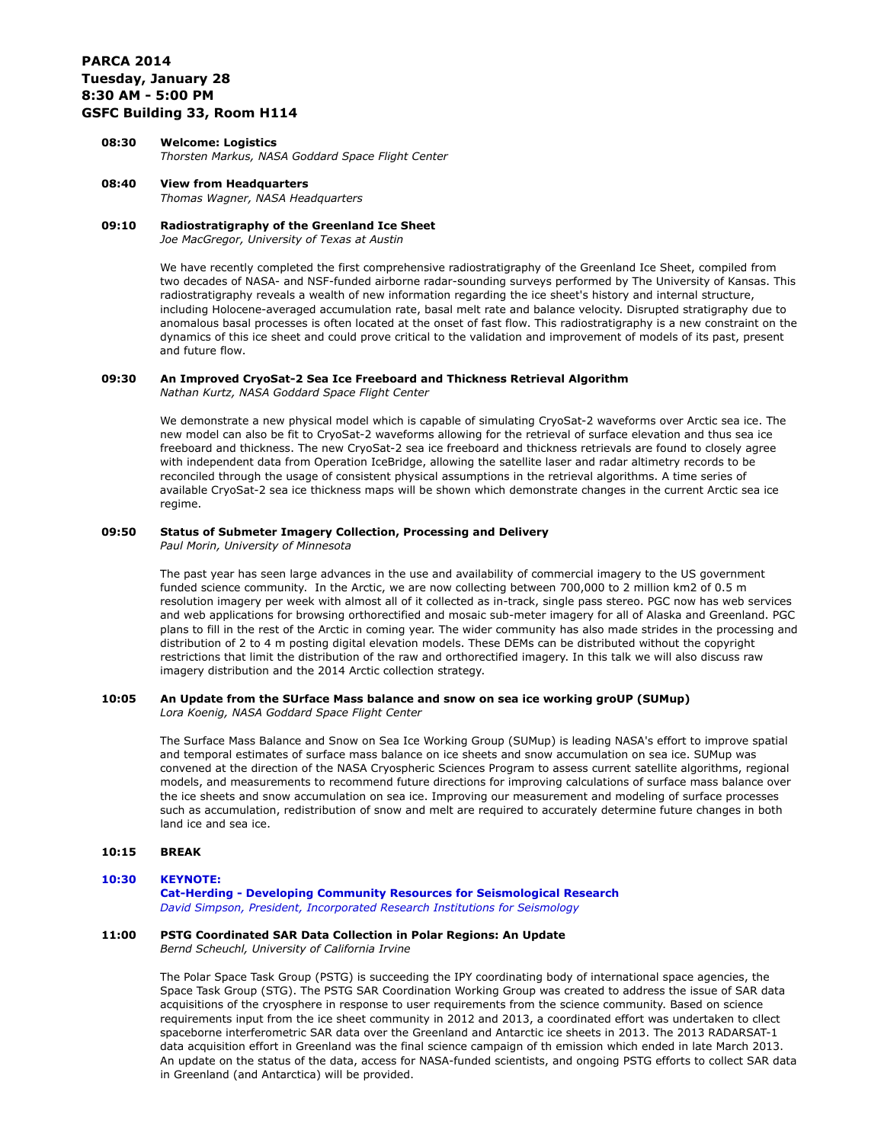# **PARCA 2014 Tuesday, January 28 8:30 AM - 5:00 PM GSFC Building 33, Room H114**

# **08:30 Welcome: Logistics**  *Thorsten Markus, NASA Goddard Space Flight Center*

**08:40 View from Headquarters** *Thomas Wagner, NASA Headquarters*

# **09:10 Radiostratigraphy of the Greenland Ice Sheet**

*Joe MacGregor, University of Texas at Austin*

We have recently completed the first comprehensive radiostratigraphy of the Greenland Ice Sheet, compiled from two decades of NASA- and NSF-funded airborne radar-sounding surveys performed by The University of Kansas. This radiostratigraphy reveals a wealth of new information regarding the ice sheet's history and internal structure, including Holocene-averaged accumulation rate, basal melt rate and balance velocity. Disrupted stratigraphy due to anomalous basal processes is often located at the onset of fast flow. This radiostratigraphy is a new constraint on the dynamics of this ice sheet and could prove critical to the validation and improvement of models of its past, present and future flow.

# **09:30 An Improved CryoSat-2 Sea Ice Freeboard and Thickness Retrieval Algorithm**

*Nathan Kurtz, NASA Goddard Space Flight Center*

We demonstrate a new physical model which is capable of simulating CryoSat-2 waveforms over Arctic sea ice. The new model can also be fit to CryoSat-2 waveforms allowing for the retrieval of surface elevation and thus sea ice freeboard and thickness. The new CryoSat-2 sea ice freeboard and thickness retrievals are found to closely agree with independent data from Operation IceBridge, allowing the satellite laser and radar altimetry records to be reconciled through the usage of consistent physical assumptions in the retrieval algorithms. A time series of available CryoSat-2 sea ice thickness maps will be shown which demonstrate changes in the current Arctic sea ice regime.

# **09:50 Status of Submeter Imagery Collection, Processing and Delivery**

*Paul Morin, University of Minnesota*

The past year has seen large advances in the use and availability of commercial imagery to the US government funded science community. In the Arctic, we are now collecting between 700,000 to 2 million km2 of 0.5 m resolution imagery per week with almost all of it collected as in-track, single pass stereo. PGC now has web services and web applications for browsing orthorectified and mosaic sub-meter imagery for all of Alaska and Greenland. PGC plans to fill in the rest of the Arctic in coming year. The wider community has also made strides in the processing and distribution of 2 to 4 m posting digital elevation models. These DEMs can be distributed without the copyright restrictions that limit the distribution of the raw and orthorectified imagery. In this talk we will also discuss raw imagery distribution and the 2014 Arctic collection strategy.

# **10:05 An Update from the SUrface Mass balance and snow on sea ice working groUP (SUMup)**

*Lora Koenig, NASA Goddard Space Flight Center*

The Surface Mass Balance and Snow on Sea Ice Working Group (SUMup) is leading NASA's effort to improve spatial and temporal estimates of surface mass balance on ice sheets and snow accumulation on sea ice. SUMup was convened at the direction of the NASA Cryospheric Sciences Program to assess current satellite algorithms, regional models, and measurements to recommend future directions for improving calculations of surface mass balance over the ice sheets and snow accumulation on sea ice. Improving our measurement and modeling of surface processes such as accumulation, redistribution of snow and melt are required to accurately determine future changes in both land ice and sea ice.

## **10:15 BREAK**

## **10:30 KEYNOTE:**

**Cat-Herding - Developing Community Resources for Seismological Research** *David Simpson, President, Incorporated Research Institutions for Seismology*

# **11:00 PSTG Coordinated SAR Data Collection in Polar Regions: An Update**

*Bernd Scheuchl, University of California Irvine*

The Polar Space Task Group (PSTG) is succeeding the IPY coordinating body of international space agencies, the Space Task Group (STG). The PSTG SAR Coordination Working Group was created to address the issue of SAR data acquisitions of the cryosphere in response to user requirements from the science community. Based on science requirements input from the ice sheet community in 2012 and 2013, a coordinated effort was undertaken to cllect spaceborne interferometric SAR data over the Greenland and Antarctic ice sheets in 2013. The 2013 RADARSAT-1 data acquisition effort in Greenland was the final science campaign of th emission which ended in late March 2013. An update on the status of the data, access for NASA-funded scientists, and ongoing PSTG efforts to collect SAR data in Greenland (and Antarctica) will be provided.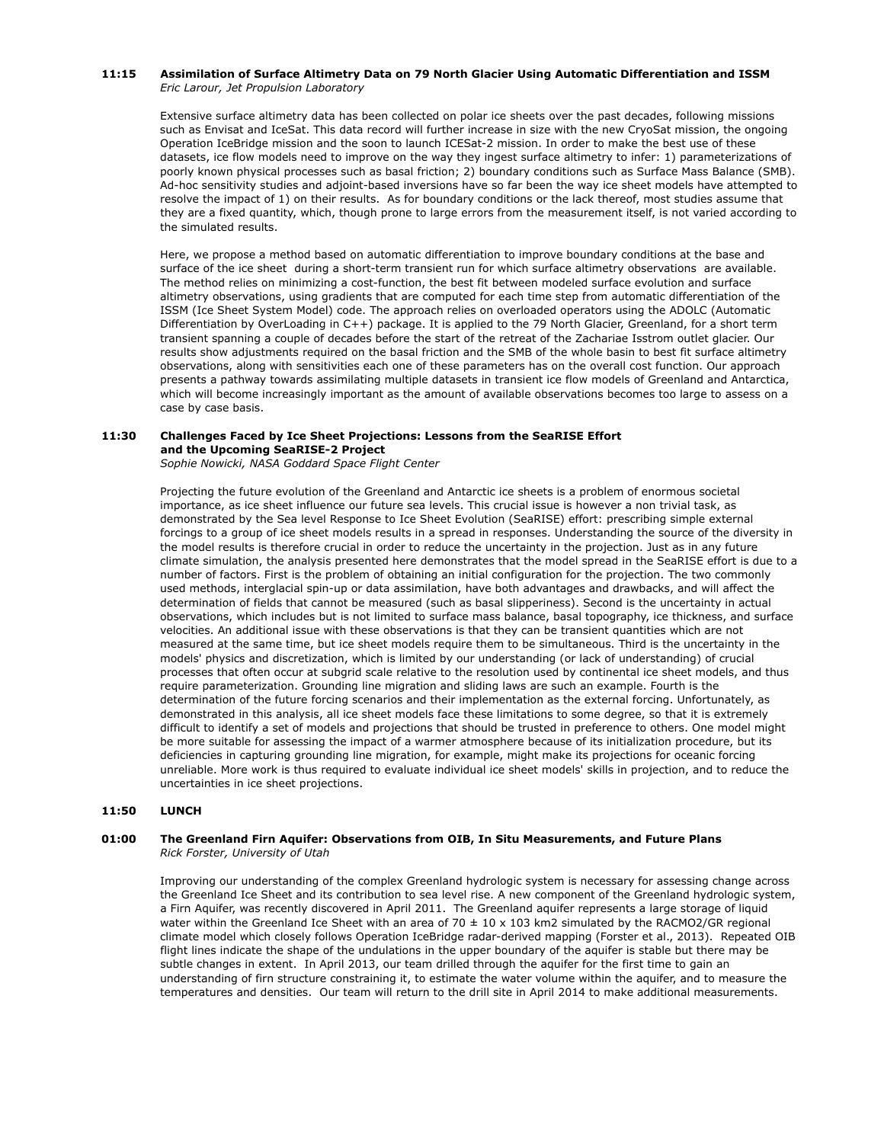## **11:15 Assimilation of Surface Altimetry Data on 79 North Glacier Using Automatic Differentiation and ISSM** *Eric Larour, Jet Propulsion Laboratory*

Extensive surface altimetry data has been collected on polar ice sheets over the past decades, following missions such as Envisat and IceSat. This data record will further increase in size with the new CryoSat mission, the ongoing Operation IceBridge mission and the soon to launch ICESat-2 mission. In order to make the best use of these datasets, ice flow models need to improve on the way they ingest surface altimetry to infer: 1) parameterizations of poorly known physical processes such as basal friction; 2) boundary conditions such as Surface Mass Balance (SMB). Ad-hoc sensitivity studies and adjoint-based inversions have so far been the way ice sheet models have attempted to resolve the impact of 1) on their results. As for boundary conditions or the lack thereof, most studies assume that they are a fixed quantity, which, though prone to large errors from the measurement itself, is not varied according to the simulated results.

Here, we propose a method based on automatic differentiation to improve boundary conditions at the base and surface of the ice sheet during a short-term transient run for which surface altimetry observations are available. The method relies on minimizing a cost-function, the best fit between modeled surface evolution and surface altimetry observations, using gradients that are computed for each time step from automatic differentiation of the ISSM (Ice Sheet System Model) code. The approach relies on overloaded operators using the ADOLC (Automatic Differentiation by OverLoading in C++) package. It is applied to the 79 North Glacier, Greenland, for a short term transient spanning a couple of decades before the start of the retreat of the Zachariae Isstrom outlet glacier. Our results show adjustments required on the basal friction and the SMB of the whole basin to best fit surface altimetry observations, along with sensitivities each one of these parameters has on the overall cost function. Our approach presents a pathway towards assimilating multiple datasets in transient ice flow models of Greenland and Antarctica, which will become increasingly important as the amount of available observations becomes too large to assess on a case by case basis.

#### **11:30 Challenges Faced by Ice Sheet Projections: Lessons from the SeaRISE Effort and the Upcoming SeaRISE-2 Project**

*Sophie Nowicki, NASA Goddard Space Flight Center*

Projecting the future evolution of the Greenland and Antarctic ice sheets is a problem of enormous societal importance, as ice sheet influence our future sea levels. This crucial issue is however a non trivial task, as demonstrated by the Sea level Response to Ice Sheet Evolution (SeaRISE) effort: prescribing simple external forcings to a group of ice sheet models results in a spread in responses. Understanding the source of the diversity in the model results is therefore crucial in order to reduce the uncertainty in the projection. Just as in any future climate simulation, the analysis presented here demonstrates that the model spread in the SeaRISE effort is due to a number of factors. First is the problem of obtaining an initial configuration for the projection. The two commonly used methods, interglacial spin-up or data assimilation, have both advantages and drawbacks, and will affect the determination of fields that cannot be measured (such as basal slipperiness). Second is the uncertainty in actual observations, which includes but is not limited to surface mass balance, basal topography, ice thickness, and surface velocities. An additional issue with these observations is that they can be transient quantities which are not measured at the same time, but ice sheet models require them to be simultaneous. Third is the uncertainty in the models' physics and discretization, which is limited by our understanding (or lack of understanding) of crucial processes that often occur at subgrid scale relative to the resolution used by continental ice sheet models, and thus require parameterization. Grounding line migration and sliding laws are such an example. Fourth is the determination of the future forcing scenarios and their implementation as the external forcing. Unfortunately, as demonstrated in this analysis, all ice sheet models face these limitations to some degree, so that it is extremely difficult to identify a set of models and projections that should be trusted in preference to others. One model might be more suitable for assessing the impact of a warmer atmosphere because of its initialization procedure, but its deficiencies in capturing grounding line migration, for example, might make its projections for oceanic forcing unreliable. More work is thus required to evaluate individual ice sheet models' skills in projection, and to reduce the uncertainties in ice sheet projections.

# **11:50 LUNCH**

# **01:00 The Greenland Firn Aquifer: Observations from OIB, In Situ Measurements, and Future Plans** *Rick Forster, University of Utah*

Improving our understanding of the complex Greenland hydrologic system is necessary for assessing change across the Greenland Ice Sheet and its contribution to sea level rise. A new component of the Greenland hydrologic system, a Firn Aquifer, was recently discovered in April 2011. The Greenland aquifer represents a large storage of liquid water within the Greenland Ice Sheet with an area of 70  $\pm$  10 x 103 km2 simulated by the RACMO2/GR regional climate model which closely follows Operation IceBridge radar-derived mapping (Forster et al., 2013). Repeated OIB flight lines indicate the shape of the undulations in the upper boundary of the aquifer is stable but there may be subtle changes in extent. In April 2013, our team drilled through the aquifer for the first time to gain an understanding of firn structure constraining it, to estimate the water volume within the aquifer, and to measure the temperatures and densities. Our team will return to the drill site in April 2014 to make additional measurements.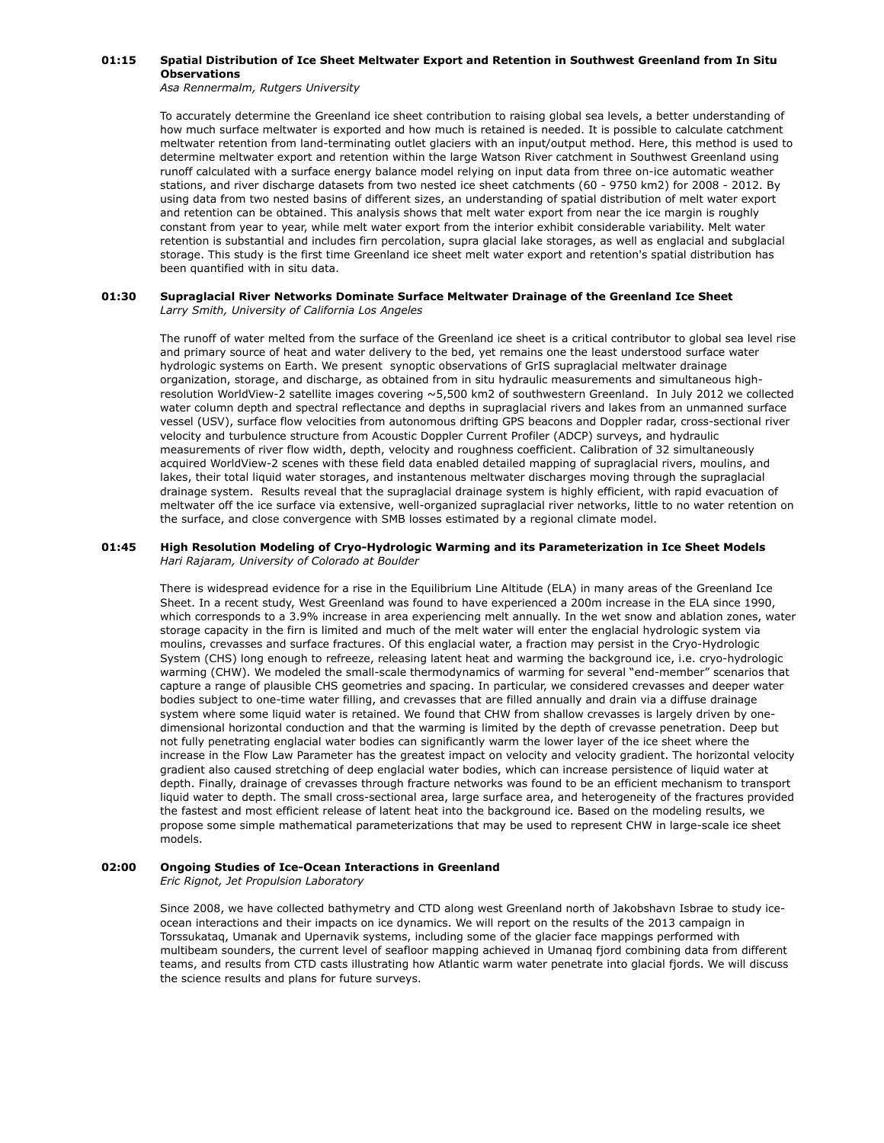#### **01:15 Spatial Distribution of Ice Sheet Meltwater Export and Retention in Southwest Greenland from In Situ Observations**

*Asa Rennermalm, Rutgers University*

To accurately determine the Greenland ice sheet contribution to raising global sea levels, a better understanding of how much surface meltwater is exported and how much is retained is needed. It is possible to calculate catchment meltwater retention from land-terminating outlet glaciers with an input/output method. Here, this method is used to determine meltwater export and retention within the large Watson River catchment in Southwest Greenland using runoff calculated with a surface energy balance model relying on input data from three on-ice automatic weather stations, and river discharge datasets from two nested ice sheet catchments (60 - 9750 km2) for 2008 - 2012. By using data from two nested basins of different sizes, an understanding of spatial distribution of melt water export and retention can be obtained. This analysis shows that melt water export from near the ice margin is roughly constant from year to year, while melt water export from the interior exhibit considerable variability. Melt water retention is substantial and includes firn percolation, supra glacial lake storages, as well as englacial and subglacial storage. This study is the first time Greenland ice sheet melt water export and retention's spatial distribution has been quantified with in situ data.

# **01:30 Supraglacial River Networks Dominate Surface Meltwater Drainage of the Greenland Ice Sheet** *Larry Smith, University of California Los Angeles*

The runoff of water melted from the surface of the Greenland ice sheet is a critical contributor to global sea level rise and primary source of heat and water delivery to the bed, yet remains one the least understood surface water hydrologic systems on Earth. We present synoptic observations of GrIS supraglacial meltwater drainage organization, storage, and discharge, as obtained from in situ hydraulic measurements and simultaneous highresolution WorldView-2 satellite images covering ~5,500 km2 of southwestern Greenland. In July 2012 we collected water column depth and spectral reflectance and depths in supraglacial rivers and lakes from an unmanned surface vessel (USV), surface flow velocities from autonomous drifting GPS beacons and Doppler radar, cross-sectional river velocity and turbulence structure from Acoustic Doppler Current Profiler (ADCP) surveys, and hydraulic measurements of river flow width, depth, velocity and roughness coefficient. Calibration of 32 simultaneously acquired WorldView-2 scenes with these field data enabled detailed mapping of supraglacial rivers, moulins, and lakes, their total liquid water storages, and instantenous meltwater discharges moving through the supraglacial drainage system. Results reveal that the supraglacial drainage system is highly efficient, with rapid evacuation of meltwater off the ice surface via extensive, well-organized supraglacial river networks, little to no water retention on the surface, and close convergence with SMB losses estimated by a regional climate model.

## **01:45 High Resolution Modeling of Cryo-Hydrologic Warming and its Parameterization in Ice Sheet Models** *Hari Rajaram, University of Colorado at Boulder*

There is widespread evidence for a rise in the Equilibrium Line Altitude (ELA) in many areas of the Greenland Ice Sheet. In a recent study, West Greenland was found to have experienced a 200m increase in the ELA since 1990, which corresponds to a 3.9% increase in area experiencing melt annually. In the wet snow and ablation zones, water storage capacity in the firn is limited and much of the melt water will enter the englacial hydrologic system via moulins, crevasses and surface fractures. Of this englacial water, a fraction may persist in the Cryo-Hydrologic System (CHS) long enough to refreeze, releasing latent heat and warming the background ice, i.e. cryo-hydrologic warming (CHW). We modeled the small-scale thermodynamics of warming for several "end-member" scenarios that capture a range of plausible CHS geometries and spacing. In particular, we considered crevasses and deeper water bodies subject to one-time water filling, and crevasses that are filled annually and drain via a diffuse drainage system where some liquid water is retained. We found that CHW from shallow crevasses is largely driven by onedimensional horizontal conduction and that the warming is limited by the depth of crevasse penetration. Deep but not fully penetrating englacial water bodies can significantly warm the lower layer of the ice sheet where the increase in the Flow Law Parameter has the greatest impact on velocity and velocity gradient. The horizontal velocity gradient also caused stretching of deep englacial water bodies, which can increase persistence of liquid water at depth. Finally, drainage of crevasses through fracture networks was found to be an efficient mechanism to transport liquid water to depth. The small cross-sectional area, large surface area, and heterogeneity of the fractures provided the fastest and most efficient release of latent heat into the background ice. Based on the modeling results, we propose some simple mathematical parameterizations that may be used to represent CHW in large-scale ice sheet models.

# **02:00 Ongoing Studies of Ice-Ocean Interactions in Greenland**

*Eric Rignot, Jet Propulsion Laboratory*

Since 2008, we have collected bathymetry and CTD along west Greenland north of Jakobshavn Isbrae to study iceocean interactions and their impacts on ice dynamics. We will report on the results of the 2013 campaign in Torssukataq, Umanak and Upernavik systems, including some of the glacier face mappings performed with multibeam sounders, the current level of seafloor mapping achieved in Umanaq fjord combining data from different teams, and results from CTD casts illustrating how Atlantic warm water penetrate into glacial fjords. We will discuss the science results and plans for future surveys.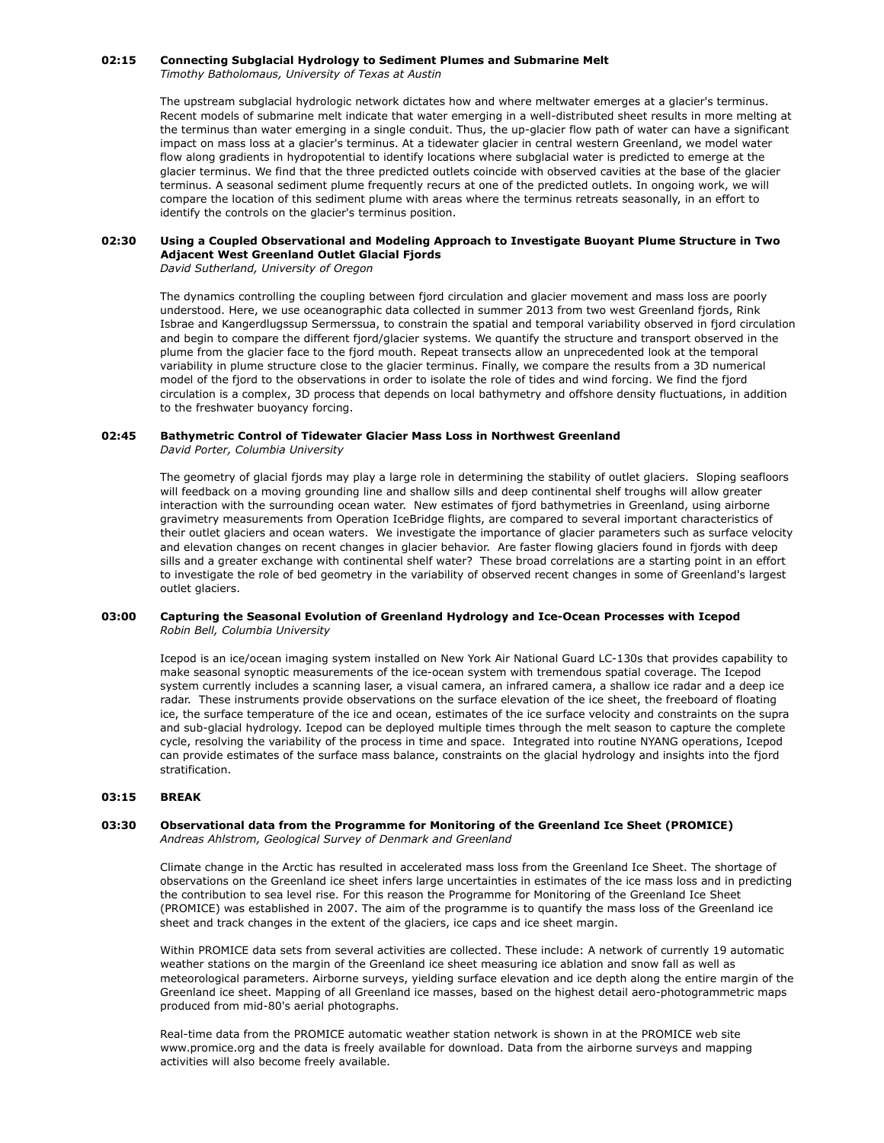# **02:15 Connecting Subglacial Hydrology to Sediment Plumes and Submarine Melt**

*Timothy Batholomaus, University of Texas at Austin*

The upstream subglacial hydrologic network dictates how and where meltwater emerges at a glacier's terminus. Recent models of submarine melt indicate that water emerging in a well-distributed sheet results in more melting at the terminus than water emerging in a single conduit. Thus, the up-glacier flow path of water can have a significant impact on mass loss at a glacier's terminus. At a tidewater glacier in central western Greenland, we model water flow along gradients in hydropotential to identify locations where subglacial water is predicted to emerge at the glacier terminus. We find that the three predicted outlets coincide with observed cavities at the base of the glacier terminus. A seasonal sediment plume frequently recurs at one of the predicted outlets. In ongoing work, we will compare the location of this sediment plume with areas where the terminus retreats seasonally, in an effort to identify the controls on the glacier's terminus position.

#### **02:30 Using a Coupled Observational and Modeling Approach to Investigate Buoyant Plume Structure in Two Adjacent West Greenland Outlet Glacial Fjords**

*David Sutherland, University of Oregon*

The dynamics controlling the coupling between fjord circulation and glacier movement and mass loss are poorly understood. Here, we use oceanographic data collected in summer 2013 from two west Greenland fjords, Rink Isbrae and Kangerdlugssup Sermerssua, to constrain the spatial and temporal variability observed in fjord circulation and begin to compare the different fjord/glacier systems. We quantify the structure and transport observed in the plume from the glacier face to the fjord mouth. Repeat transects allow an unprecedented look at the temporal variability in plume structure close to the glacier terminus. Finally, we compare the results from a 3D numerical model of the fjord to the observations in order to isolate the role of tides and wind forcing. We find the fjord circulation is a complex, 3D process that depends on local bathymetry and offshore density fluctuations, in addition to the freshwater buoyancy forcing.

# **02:45 Bathymetric Control of Tidewater Glacier Mass Loss in Northwest Greenland**

*David Porter, Columbia University*

The geometry of glacial fjords may play a large role in determining the stability of outlet glaciers. Sloping seafloors will feedback on a moving grounding line and shallow sills and deep continental shelf troughs will allow greater interaction with the surrounding ocean water. New estimates of fjord bathymetries in Greenland, using airborne gravimetry measurements from Operation IceBridge flights, are compared to several important characteristics of their outlet glaciers and ocean waters. We investigate the importance of glacier parameters such as surface velocity and elevation changes on recent changes in glacier behavior. Are faster flowing glaciers found in fjords with deep sills and a greater exchange with continental shelf water? These broad correlations are a starting point in an effort to investigate the role of bed geometry in the variability of observed recent changes in some of Greenland's largest outlet glaciers.

# **03:00 Capturing the Seasonal Evolution of Greenland Hydrology and Ice-Ocean Processes with Icepod** *Robin Bell, Columbia University*

Icepod is an ice/ocean imaging system installed on New York Air National Guard LC-130s that provides capability to make seasonal synoptic measurements of the ice-ocean system with tremendous spatial coverage. The Icepod system currently includes a scanning laser, a visual camera, an infrared camera, a shallow ice radar and a deep ice radar. These instruments provide observations on the surface elevation of the ice sheet, the freeboard of floating ice, the surface temperature of the ice and ocean, estimates of the ice surface velocity and constraints on the supra and sub-glacial hydrology. Icepod can be deployed multiple times through the melt season to capture the complete cycle, resolving the variability of the process in time and space. Integrated into routine NYANG operations, Icepod can provide estimates of the surface mass balance, constraints on the glacial hydrology and insights into the fjord stratification.

# **03:15 BREAK**

# **03:30 Observational data from the Programme for Monitoring of the Greenland Ice Sheet (PROMICE)** *Andreas Ahlstrom, Geological Survey of Denmark and Greenland*

Climate change in the Arctic has resulted in accelerated mass loss from the Greenland Ice Sheet. The shortage of observations on the Greenland ice sheet infers large uncertainties in estimates of the ice mass loss and in predicting the contribution to sea level rise. For this reason the Programme for Monitoring of the Greenland Ice Sheet (PROMICE) was established in 2007. The aim of the programme is to quantify the mass loss of the Greenland ice sheet and track changes in the extent of the glaciers, ice caps and ice sheet margin.

Within PROMICE data sets from several activities are collected. These include: A network of currently 19 automatic weather stations on the margin of the Greenland ice sheet measuring ice ablation and snow fall as well as meteorological parameters. Airborne surveys, yielding surface elevation and ice depth along the entire margin of the Greenland ice sheet. Mapping of all Greenland ice masses, based on the highest detail aero-photogrammetric maps produced from mid-80's aerial photographs.

Real-time data from the PROMICE automatic weather station network is shown in at the PROMICE web site www.promice.org and the data is freely available for download. Data from the airborne surveys and mapping activities will also become freely available.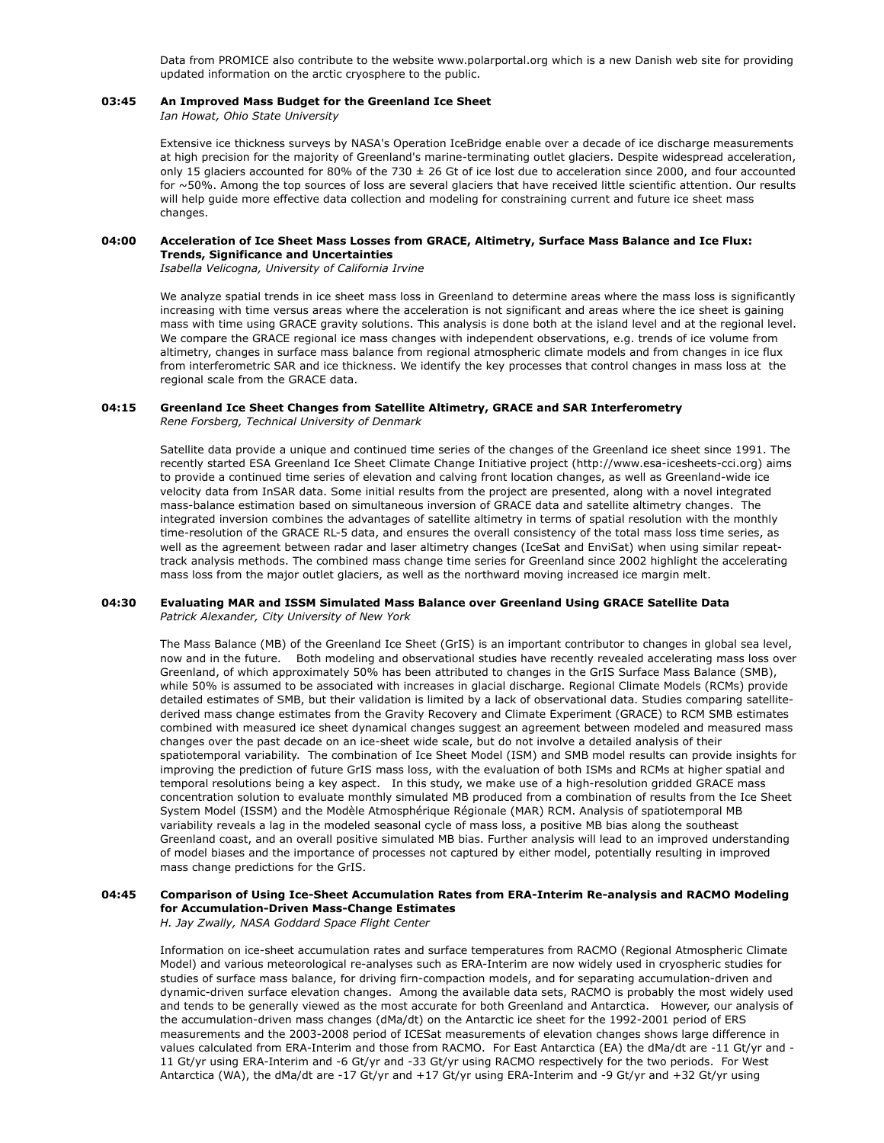Data from PROMICE also contribute to the website www.polarportal.org which is a new Danish web site for providing updated information on the arctic cryosphere to the public.

# **03:45 An Improved Mass Budget for the Greenland Ice Sheet**

*Ian Howat, Ohio State University*

Extensive ice thickness surveys by NASA's Operation IceBridge enable over a decade of ice discharge measurements at high precision for the majority of Greenland's marine-terminating outlet glaciers. Despite widespread acceleration, only 15 glaciers accounted for 80% of the 730  $\pm$  26 Gt of ice lost due to acceleration since 2000, and four accounted for ~50%. Among the top sources of loss are several glaciers that have received little scientific attention. Our results will help guide more effective data collection and modeling for constraining current and future ice sheet mass changes.

#### **04:00 Acceleration of Ice Sheet Mass Losses from GRACE, Altimetry, Surface Mass Balance and Ice Flux: Trends, Significance and Uncertainties**

*Isabella Velicogna, University of California Irvine*

We analyze spatial trends in ice sheet mass loss in Greenland to determine areas where the mass loss is significantly increasing with time versus areas where the acceleration is not significant and areas where the ice sheet is gaining mass with time using GRACE gravity solutions. This analysis is done both at the island level and at the regional level. We compare the GRACE regional ice mass changes with independent observations, e.g. trends of ice volume from altimetry, changes in surface mass balance from regional atmospheric climate models and from changes in ice flux from interferometric SAR and ice thickness. We identify the key processes that control changes in mass loss at the regional scale from the GRACE data.

### **04:15 Greenland Ice Sheet Changes from Satellite Altimetry, GRACE and SAR Interferometry** *Rene Forsberg, Technical University of Denmark*

Satellite data provide a unique and continued time series of the changes of the Greenland ice sheet since 1991. The recently started ESA Greenland Ice Sheet Climate Change Initiative project (http://www.esa-icesheets-cci.org) aims to provide a continued time series of elevation and calving front location changes, as well as Greenland-wide ice velocity data from InSAR data. Some initial results from the project are presented, along with a novel integrated mass-balance estimation based on simultaneous inversion of GRACE data and satellite altimetry changes. The integrated inversion combines the advantages of satellite altimetry in terms of spatial resolution with the monthly time-resolution of the GRACE RL-5 data, and ensures the overall consistency of the total mass loss time series, as well as the agreement between radar and laser altimetry changes (IceSat and EnviSat) when using similar repeattrack analysis methods. The combined mass change time series for Greenland since 2002 highlight the accelerating mass loss from the major outlet glaciers, as well as the northward moving increased ice margin melt.

# **04:30 Evaluating MAR and ISSM Simulated Mass Balance over Greenland Using GRACE Satellite Data** *Patrick Alexander, City University of New York*

The Mass Balance (MB) of the Greenland Ice Sheet (GrIS) is an important contributor to changes in global sea level, now and in the future. Both modeling and observational studies have recently revealed accelerating mass loss over Greenland, of which approximately 50% has been attributed to changes in the GrIS Surface Mass Balance (SMB), while 50% is assumed to be associated with increases in glacial discharge. Regional Climate Models (RCMs) provide detailed estimates of SMB, but their validation is limited by a lack of observational data. Studies comparing satellitederived mass change estimates from the Gravity Recovery and Climate Experiment (GRACE) to RCM SMB estimates combined with measured ice sheet dynamical changes suggest an agreement between modeled and measured mass changes over the past decade on an ice-sheet wide scale, but do not involve a detailed analysis of their spatiotemporal variability. The combination of Ice Sheet Model (ISM) and SMB model results can provide insights for improving the prediction of future GrIS mass loss, with the evaluation of both ISMs and RCMs at higher spatial and temporal resolutions being a key aspect. In this study, we make use of a high-resolution gridded GRACE mass concentration solution to evaluate monthly simulated MB produced from a combination of results from the Ice Sheet System Model (ISSM) and the Modèle Atmosphérique Régionale (MAR) RCM. Analysis of spatiotemporal MB variability reveals a lag in the modeled seasonal cycle of mass loss, a positive MB bias along the southeast Greenland coast, and an overall positive simulated MB bias. Further analysis will lead to an improved understanding of model biases and the importance of processes not captured by either model, potentially resulting in improved mass change predictions for the GrIS.

#### **04:45 Comparison of Using Ice-Sheet Accumulation Rates from ERA-Interim Re-analysis and RACMO Modeling for Accumulation-Driven Mass-Change Estimates**

*H. Jay Zwally, NASA Goddard Space Flight Center*

Information on ice-sheet accumulation rates and surface temperatures from RACMO (Regional Atmospheric Climate Model) and various meteorological re-analyses such as ERA-Interim are now widely used in cryospheric studies for studies of surface mass balance, for driving firn-compaction models, and for separating accumulation-driven and dynamic-driven surface elevation changes. Among the available data sets, RACMO is probably the most widely used and tends to be generally viewed as the most accurate for both Greenland and Antarctica. However, our analysis of the accumulation-driven mass changes (dMa/dt) on the Antarctic ice sheet for the 1992-2001 period of ERS measurements and the 2003-2008 period of ICESat measurements of elevation changes shows large difference in values calculated from ERA-Interim and those from RACMO. For East Antarctica (EA) the dMa/dt are -11 Gt/yr and - 11 Gt/yr using ERA-Interim and -6 Gt/yr and -33 Gt/yr using RACMO respectively for the two periods. For West Antarctica (WA), the dMa/dt are -17 Gt/yr and +17 Gt/yr using ERA-Interim and -9 Gt/yr and +32 Gt/yr using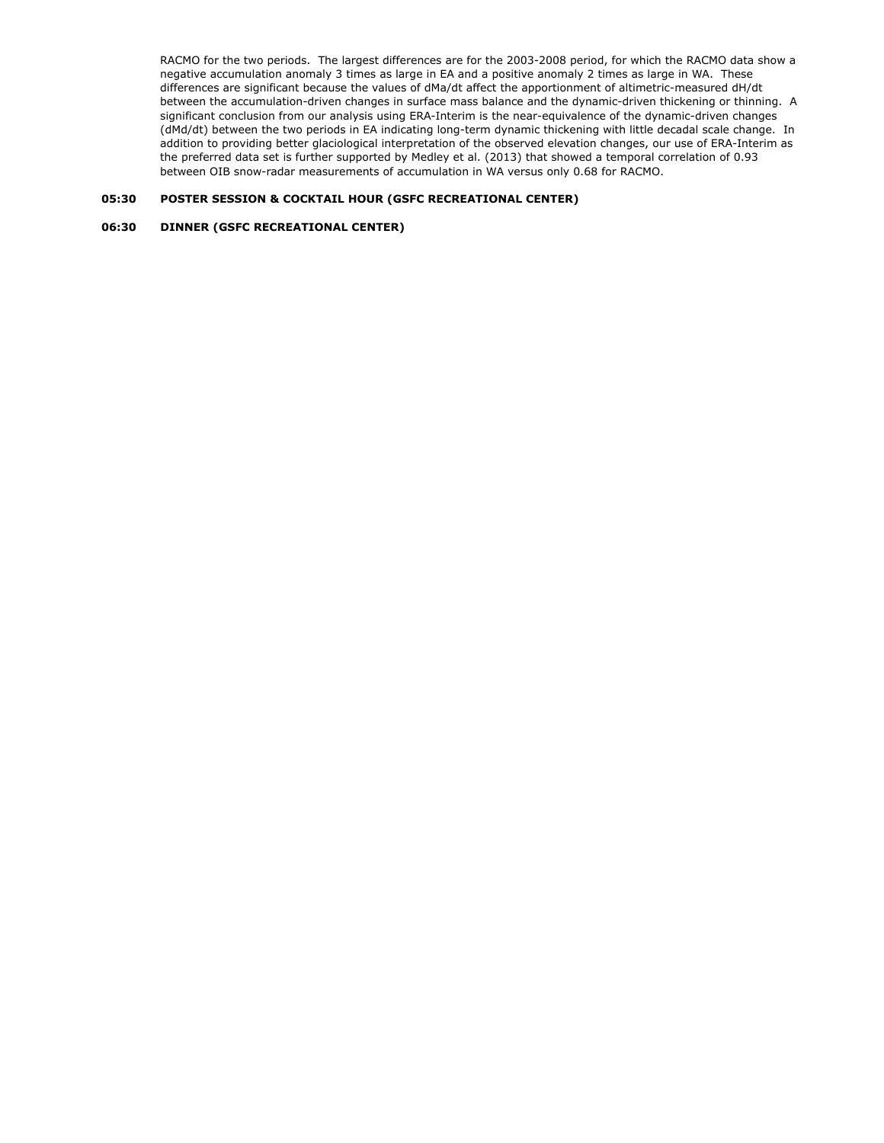RACMO for the two periods. The largest differences are for the 2003-2008 period, for which the RACMO data show a negative accumulation anomaly 3 times as large in EA and a positive anomaly 2 times as large in WA. These differences are significant because the values of dMa/dt affect the apportionment of altimetric-measured dH/dt between the accumulation-driven changes in surface mass balance and the dynamic-driven thickening or thinning. A significant conclusion from our analysis using ERA-Interim is the near-equivalence of the dynamic-driven changes (dMd/dt) between the two periods in EA indicating long-term dynamic thickening with little decadal scale change. In addition to providing better glaciological interpretation of the observed elevation changes, our use of ERA-Interim as the preferred data set is further supported by Medley et al. (2013) that showed a temporal correlation of 0.93 between OIB snow-radar measurements of accumulation in WA versus only 0.68 for RACMO.

# **05:30 POSTER SESSION & COCKTAIL HOUR (GSFC RECREATIONAL CENTER)**

# **06:30 DINNER (GSFC RECREATIONAL CENTER)**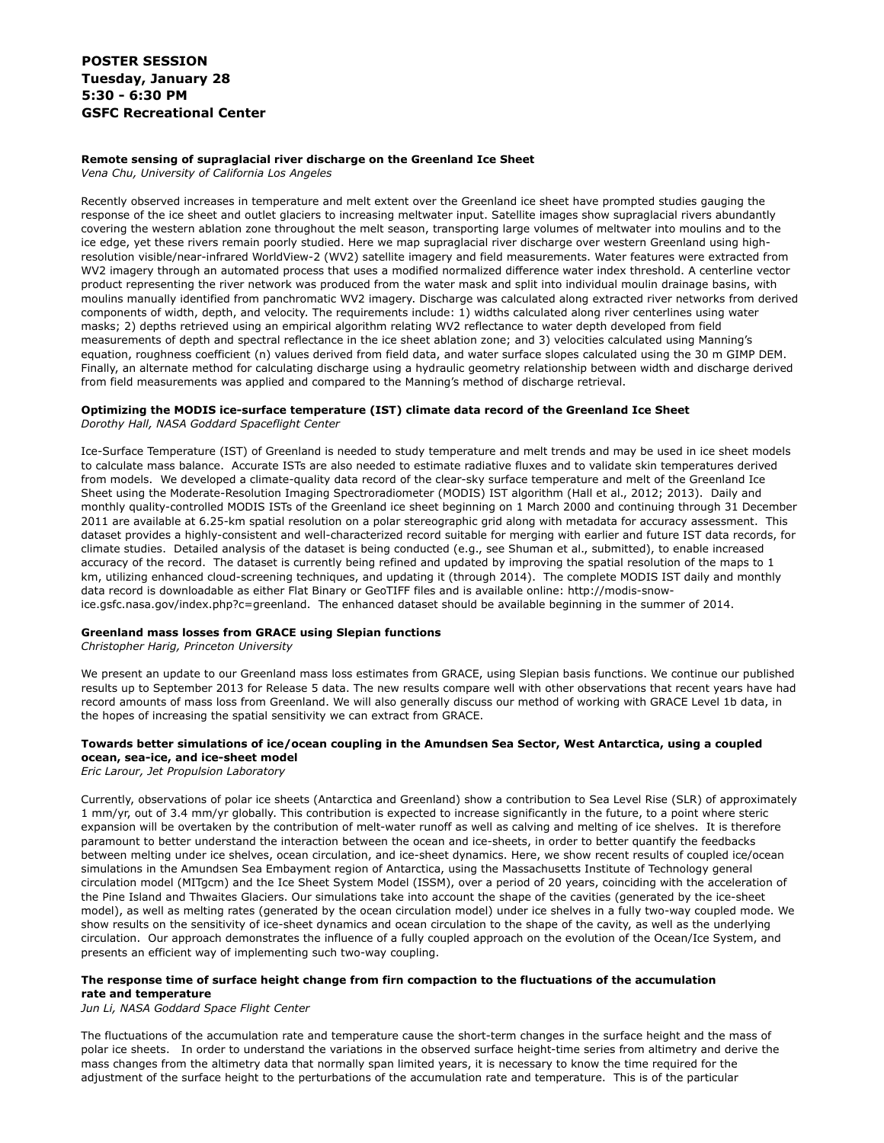# **POSTER SESSION Tuesday, January 28 5:30 - 6:30 PM GSFC Recreational Center**

# **Remote sensing of supraglacial river discharge on the Greenland Ice Sheet**

*Vena Chu, University of California Los Angeles*

Recently observed increases in temperature and melt extent over the Greenland ice sheet have prompted studies gauging the response of the ice sheet and outlet glaciers to increasing meltwater input. Satellite images show supraglacial rivers abundantly covering the western ablation zone throughout the melt season, transporting large volumes of meltwater into moulins and to the ice edge, yet these rivers remain poorly studied. Here we map supraglacial river discharge over western Greenland using highresolution visible/near-infrared WorldView-2 (WV2) satellite imagery and field measurements. Water features were extracted from WV2 imagery through an automated process that uses a modified normalized difference water index threshold. A centerline vector product representing the river network was produced from the water mask and split into individual moulin drainage basins, with moulins manually identified from panchromatic WV2 imagery. Discharge was calculated along extracted river networks from derived components of width, depth, and velocity. The requirements include: 1) widths calculated along river centerlines using water masks; 2) depths retrieved using an empirical algorithm relating WV2 reflectance to water depth developed from field measurements of depth and spectral reflectance in the ice sheet ablation zone; and 3) velocities calculated using Manning's equation, roughness coefficient (n) values derived from field data, and water surface slopes calculated using the 30 m GIMP DEM. Finally, an alternate method for calculating discharge using a hydraulic geometry relationship between width and discharge derived from field measurements was applied and compared to the Manning's method of discharge retrieval.

# **Optimizing the MODIS ice-surface temperature (IST) climate data record of the Greenland Ice Sheet**

*Dorothy Hall, NASA Goddard Spaceflight Center*

Ice-Surface Temperature (IST) of Greenland is needed to study temperature and melt trends and may be used in ice sheet models to calculate mass balance. Accurate ISTs are also needed to estimate radiative fluxes and to validate skin temperatures derived from models. We developed a climate-quality data record of the clear-sky surface temperature and melt of the Greenland Ice Sheet using the Moderate-Resolution Imaging Spectroradiometer (MODIS) IST algorithm (Hall et al., 2012; 2013). Daily and monthly quality-controlled MODIS ISTs of the Greenland ice sheet beginning on 1 March 2000 and continuing through 31 December 2011 are available at 6.25-km spatial resolution on a polar stereographic grid along with metadata for accuracy assessment. This dataset provides a highly-consistent and well-characterized record suitable for merging with earlier and future IST data records, for climate studies. Detailed analysis of the dataset is being conducted (e.g., see Shuman et al., submitted), to enable increased accuracy of the record. The dataset is currently being refined and updated by improving the spatial resolution of the maps to 1 km, utilizing enhanced cloud-screening techniques, and updating it (through 2014). The complete MODIS IST daily and monthly data record is downloadable as either Flat Binary or GeoTIFF files and is available online: http://modis-snowice.gsfc.nasa.gov/index.php?c=greenland. The enhanced dataset should be available beginning in the summer of 2014.

# **Greenland mass losses from GRACE using Slepian functions**

*Christopher Harig, Princeton University*

We present an update to our Greenland mass loss estimates from GRACE, using Slepian basis functions. We continue our published results up to September 2013 for Release 5 data. The new results compare well with other observations that recent years have had record amounts of mass loss from Greenland. We will also generally discuss our method of working with GRACE Level 1b data, in the hopes of increasing the spatial sensitivity we can extract from GRACE.

# **Towards better simulations of ice/ocean coupling in the Amundsen Sea Sector, West Antarctica, using a coupled ocean, sea-ice, and ice-sheet model**

*Eric Larour, Jet Propulsion Laboratory*

Currently, observations of polar ice sheets (Antarctica and Greenland) show a contribution to Sea Level Rise (SLR) of approximately 1 mm/yr, out of 3.4 mm/yr globally. This contribution is expected to increase significantly in the future, to a point where steric expansion will be overtaken by the contribution of melt-water runoff as well as calving and melting of ice shelves. It is therefore paramount to better understand the interaction between the ocean and ice-sheets, in order to better quantify the feedbacks between melting under ice shelves, ocean circulation, and ice-sheet dynamics. Here, we show recent results of coupled ice/ocean simulations in the Amundsen Sea Embayment region of Antarctica, using the Massachusetts Institute of Technology general circulation model (MITgcm) and the Ice Sheet System Model (ISSM), over a period of 20 years, coinciding with the acceleration of the Pine Island and Thwaites Glaciers. Our simulations take into account the shape of the cavities (generated by the ice-sheet model), as well as melting rates (generated by the ocean circulation model) under ice shelves in a fully two-way coupled mode. We show results on the sensitivity of ice-sheet dynamics and ocean circulation to the shape of the cavity, as well as the underlying circulation. Our approach demonstrates the influence of a fully coupled approach on the evolution of the Ocean/Ice System, and presents an efficient way of implementing such two-way coupling.

## **The response time of surface height change from firn compaction to the fluctuations of the accumulation rate and temperature**

*Jun Li, NASA Goddard Space Flight Center*

The fluctuations of the accumulation rate and temperature cause the short-term changes in the surface height and the mass of polar ice sheets. In order to understand the variations in the observed surface height-time series from altimetry and derive the mass changes from the altimetry data that normally span limited years, it is necessary to know the time required for the adjustment of the surface height to the perturbations of the accumulation rate and temperature. This is of the particular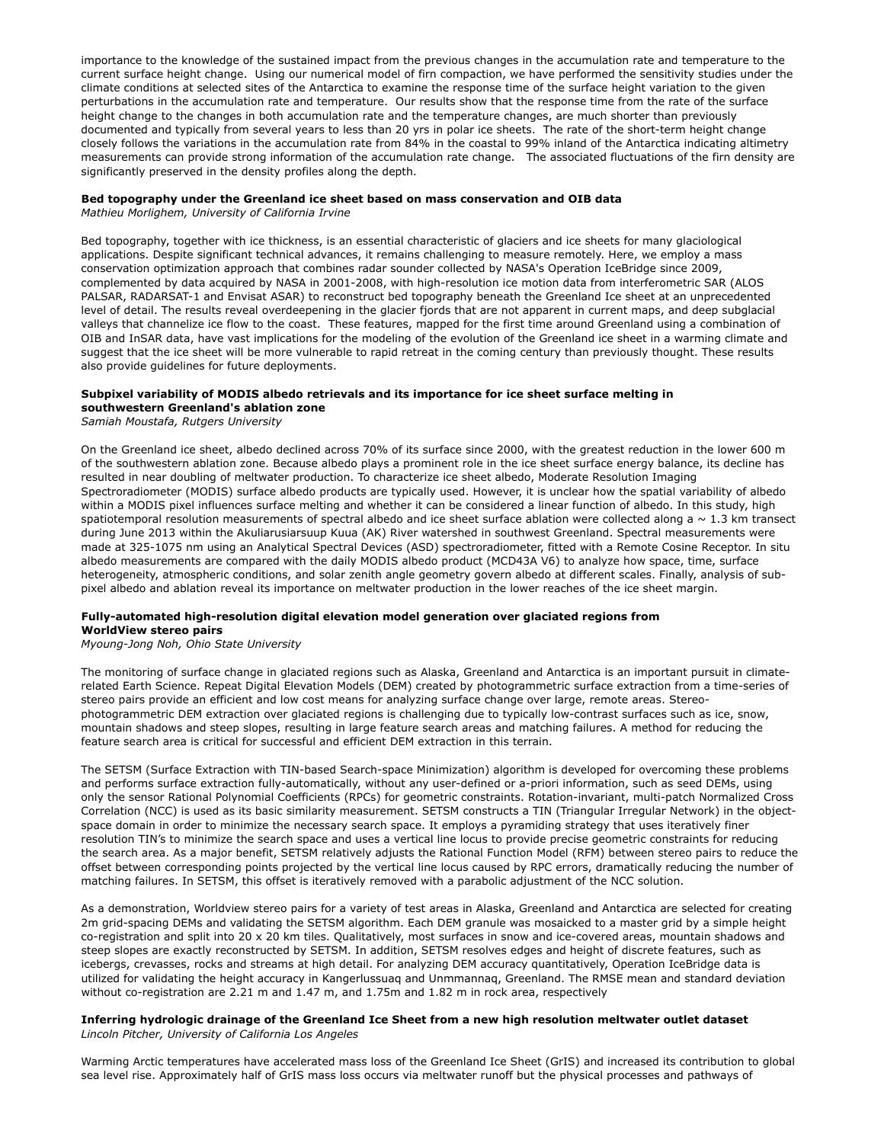importance to the knowledge of the sustained impact from the previous changes in the accumulation rate and temperature to the current surface height change. Using our numerical model of firn compaction, we have performed the sensitivity studies under the climate conditions at selected sites of the Antarctica to examine the response time of the surface height variation to the given perturbations in the accumulation rate and temperature. Our results show that the response time from the rate of the surface height change to the changes in both accumulation rate and the temperature changes, are much shorter than previously documented and typically from several years to less than 20 yrs in polar ice sheets. The rate of the short-term height change closely follows the variations in the accumulation rate from 84% in the coastal to 99% inland of the Antarctica indicating altimetry measurements can provide strong information of the accumulation rate change. The associated fluctuations of the firn density are significantly preserved in the density profiles along the depth.

# **Bed topography under the Greenland ice sheet based on mass conservation and OIB data**

*Mathieu Morlighem, University of California Irvine*

Bed topography, together with ice thickness, is an essential characteristic of glaciers and ice sheets for many glaciological applications. Despite significant technical advances, it remains challenging to measure remotely. Here, we employ a mass conservation optimization approach that combines radar sounder collected by NASA's Operation IceBridge since 2009, complemented by data acquired by NASA in 2001-2008, with high-resolution ice motion data from interferometric SAR (ALOS PALSAR, RADARSAT-1 and Envisat ASAR) to reconstruct bed topography beneath the Greenland Ice sheet at an unprecedented level of detail. The results reveal overdeepening in the glacier fjords that are not apparent in current maps, and deep subglacial valleys that channelize ice flow to the coast. These features, mapped for the first time around Greenland using a combination of OIB and InSAR data, have vast implications for the modeling of the evolution of the Greenland ice sheet in a warming climate and suggest that the ice sheet will be more vulnerable to rapid retreat in the coming century than previously thought. These results also provide guidelines for future deployments.

# **Subpixel variability of MODIS albedo retrievals and its importance for ice sheet surface melting in southwestern Greenland's ablation zone**

*Samiah Moustafa, Rutgers University*

On the Greenland ice sheet, albedo declined across 70% of its surface since 2000, with the greatest reduction in the lower 600 m of the southwestern ablation zone. Because albedo plays a prominent role in the ice sheet surface energy balance, its decline has resulted in near doubling of meltwater production. To characterize ice sheet albedo, Moderate Resolution Imaging Spectroradiometer (MODIS) surface albedo products are typically used. However, it is unclear how the spatial variability of albedo within a MODIS pixel influences surface melting and whether it can be considered a linear function of albedo. In this study, high spatiotemporal resolution measurements of spectral albedo and ice sheet surface ablation were collected along a  $\sim 1.3$  km transect during June 2013 within the Akuliarusiarsuup Kuua (AK) River watershed in southwest Greenland. Spectral measurements were made at 325-1075 nm using an Analytical Spectral Devices (ASD) spectroradiometer, fitted with a Remote Cosine Receptor. In situ albedo measurements are compared with the daily MODIS albedo product (MCD43A V6) to analyze how space, time, surface heterogeneity, atmospheric conditions, and solar zenith angle geometry govern albedo at different scales. Finally, analysis of subpixel albedo and ablation reveal its importance on meltwater production in the lower reaches of the ice sheet margin.

# **Fully-automated high-resolution digital elevation model generation over glaciated regions from WorldView stereo pairs**

*Myoung-Jong Noh, Ohio State University*

The monitoring of surface change in glaciated regions such as Alaska, Greenland and Antarctica is an important pursuit in climaterelated Earth Science. Repeat Digital Elevation Models (DEM) created by photogrammetric surface extraction from a time-series of stereo pairs provide an efficient and low cost means for analyzing surface change over large, remote areas. Stereophotogrammetric DEM extraction over glaciated regions is challenging due to typically low-contrast surfaces such as ice, snow, mountain shadows and steep slopes, resulting in large feature search areas and matching failures. A method for reducing the feature search area is critical for successful and efficient DEM extraction in this terrain.

The SETSM (Surface Extraction with TIN-based Search-space Minimization) algorithm is developed for overcoming these problems and performs surface extraction fully-automatically, without any user-defined or a-priori information, such as seed DEMs, using only the sensor Rational Polynomial Coefficients (RPCs) for geometric constraints. Rotation-invariant, multi-patch Normalized Cross Correlation (NCC) is used as its basic similarity measurement. SETSM constructs a TIN (Triangular Irregular Network) in the objectspace domain in order to minimize the necessary search space. It employs a pyramiding strategy that uses iteratively finer resolution TIN's to minimize the search space and uses a vertical line locus to provide precise geometric constraints for reducing the search area. As a major benefit, SETSM relatively adjusts the Rational Function Model (RFM) between stereo pairs to reduce the offset between corresponding points projected by the vertical line locus caused by RPC errors, dramatically reducing the number of matching failures. In SETSM, this offset is iteratively removed with a parabolic adjustment of the NCC solution.

As a demonstration, Worldview stereo pairs for a variety of test areas in Alaska, Greenland and Antarctica are selected for creating 2m grid-spacing DEMs and validating the SETSM algorithm. Each DEM granule was mosaicked to a master grid by a simple height co-registration and split into 20 x 20 km tiles. Qualitatively, most surfaces in snow and ice-covered areas, mountain shadows and steep slopes are exactly reconstructed by SETSM. In addition, SETSM resolves edges and height of discrete features, such as icebergs, crevasses, rocks and streams at high detail. For analyzing DEM accuracy quantitatively, Operation IceBridge data is utilized for validating the height accuracy in Kangerlussuaq and Unmmannaq, Greenland. The RMSE mean and standard deviation without co-registration are 2.21 m and 1.47 m, and 1.75m and 1.82 m in rock area, respectively

## **Inferring hydrologic drainage of the Greenland Ice Sheet from a new high resolution meltwater outlet dataset**  *Lincoln Pitcher, University of California Los Angeles*

Warming Arctic temperatures have accelerated mass loss of the Greenland Ice Sheet (GrIS) and increased its contribution to global sea level rise. Approximately half of GrIS mass loss occurs via meltwater runoff but the physical processes and pathways of